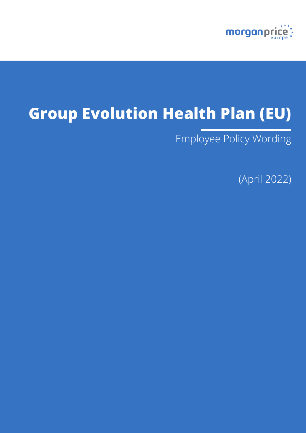

# **Group Evolution Health Plan (EU)**

Employee Policy Wording

(April 2022)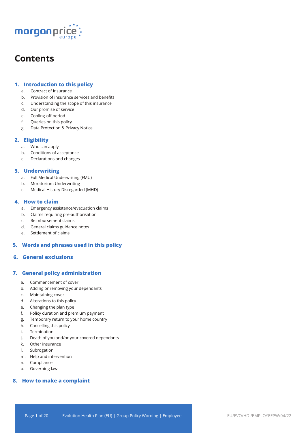

## **Contents**

## **1. Introduction to this policy**

- a. Contract of insurance
- b. Provision of insurance services and benefits
- c. Understanding the scope of this insurance
- d. Our promise of service
- e. Cooling-off period
- f. Queries on this policy
- g. Data Protection & Privacy Notice

## **2. Eligibility**

- a. Who can apply
- b. Conditions of acceptance
- c. Declarations and changes

## **3. Underwriting**

- a. Full Medical Underwriting (FMU)
- b. Moratorium Underwriting
- c. Medical History Disregarded (MHD)

## **4. How to claim**

- a. Emergency assistance/evacuation claims
- b. Claims requiring pre-authorisation
- c. Reimbursement claims
- d. General claims guidance notes
- e. Settlement of claims

## **5. Words and phrases used in this policy**

## **6. General exclusions**

## **7. General policy administration**

- a. Commencement of cover
- b. Adding or removing your dependants
- c. Maintaining cover
- d. Alterations to this policy
- e. Changing the plan type
- f. Policy duration and premium payment
- g. Temporary return to your home country
- h. Cancelling this policy
- i. Termination
- j. Death of you and/or your covered dependants
- k. Other insurance
- l. Subrogation
- m. Help and intervention
- n. Compliance
- o. Governing law

## **8. How to make a complaint**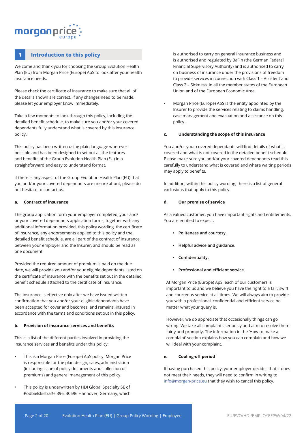## morganpri

## **1 Introduction to this policy**

Welcome and thank you for choosing the Group Evolution Health Plan (EU) from Morgan Price (Europe) ApS to look after your health insurance needs.

Please check the certificate of insurance to make sure that all of the details shown are correct. If any changes need to be made, please let your employer know immediately.

Take a few moments to look through this policy, including the detailed benefit schedule, to make sure you and/or your covered dependants fully understand what is covered by this insurance policy.

This policy has been written using plain language wherever possible and has been designed to set out all the features and benefits of the Group Evolution Health Plan (EU) in a straightforward and easy to understand format.

If there is any aspect of the Group Evolution Health Plan (EU) that you and/or your covered dependants are unsure about, please do not hesitate to contact us.

#### **a. Contract of insurance**

The group application form your employer completed, your and/ or your covered dependants application forms, together with any additional information provided, this policy wording, the certificate of insurance, any endorsements applied to this policy and the detailed benefit schedule, are all part of the contract of insurance between your employer and the Insurer, and should be read as one document.

Provided the required amount of premium is paid on the due date, we will provide you and/or your eligible dependants listed on the certificate of insurance with the benefits set out in the detailed benefit schedule attached to the certificate of insurance.

The insurance is effective only after we have issued written confirmation that you and/or your eligible dependants have been accepted for cover and becomes, and remains, insured in accordance with the terms and conditions set out in this policy.

#### **b. Provision of insurance services and benefits**

This is a list of the different parties involved in providing the insurance services and benefits under this policy:

- This is a Morgan Price (Europe) ApS policy. Morgan Price is responsible for the plan design, sales, administration (including issue of policy documents and collection of premiums) and general management of this policy.
- This policy is underwritten by HDI Global Specialty SE of Podbielskistraße 396, 30696 Hannover, Germany, which

is authorised to carry on general insurance business and is authorised and regulated by BaFin (the German Federal Financial Supervisory Authority) and is authorised to carry on business of insurance under the provisions of freedom to provide services in connection with Class 1 – Accident and Class 2 – Sickness, in all the member states of the European Union and of the European Economic Area.

• Morgan Price (Europe) ApS is the entity appointed by the Insurer to provide the services relating to claims handling, case management and evacuation and assistance on this policy.

#### **c. Understanding the scope of this insurance**

You and/or your covered dependants will find details of what is covered and what is not covered in the detailed benefit schedule. Please make sure you and/or your covered dependants read this carefully to understand what is covered and where waiting periods may apply to benefits.

In addition, within this policy wording, there is a list of general exclusions that apply to this policy.

#### **d. Our promise of service**

As a valued customer, you have important rights and entitlements. You are entitled to expect:

- **• Politeness and courtesy.**
- **• Helpful advice and guidance.**
- **• Confidentiality.**
- **• Professional and efficient service.**

At Morgan Price (Europe) ApS, each of our customers is important to us and we believe you have the right to a fair, swift and courteous service at all times. We will always aim to provide you with a professional, confidential and efficient service no matter what your query is.

However, we do appreciate that occasionally things can go wrong. We take all complaints seriously and aim to resolve them fairly and promptly. The information in the 'How to make a complaint' section explains how you can complain and how we will deal with your complaint.

## **e. Cooling-off period**

If having purchased this policy, your employer decides that it does not meet their needs, they will need to confirm in writing to info@morgan-price.eu that they wish to cancel this policy.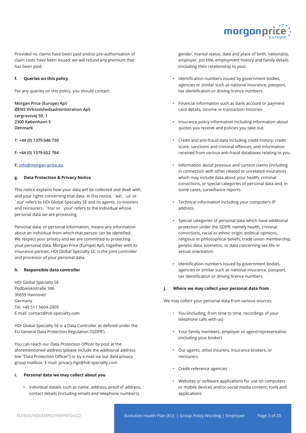

Provided no claims have been paid and/or pre-authorisation of claim costs have been issued, we will refund any premium that has been paid.

#### **f. Queries on this policy**

For any queries on this policy, you should contact:

**Morgan Price (Europe) ApS ØENS Virksomhedsadministration ApS Lergravsvej 59, 1 2300 København S Denmark**

**T: +44 (0) 1379 646 730**

**F: +44 (0) 1379 652 794**

#### **E: info@morgan-price.eu**

#### **g. Data Protection & Privacy Notice**

This notice explains how your data will be collected and dealt with, and your rights concerning that data. In this notice, `we', `us' or `our' refers to HDI Global Specialty SE and its agents, co-insurers and reinsurers. `You' or `your' refers to the individual whose personal data we are processing.

Personal data, or personal information, means any information about an individual from which that person can be identified. We respect your privacy and we are committed to protecting your personal data. Morgan Price (Europe) ApS, together with its insurance partner, HDI Global Specialty SE, is the joint controller and processor of your personal data.

#### **h. Responsible data controller**

HDI Global Specialty SE Podbielskistraße 396 30659 Hannover Germany Tel. +49 511 5604-2909 E-mail: contact@hdi-specialty.com

HDI Global Specialty SE is a Data Controller as defined under the EU General Data Protection Regulation ('GDPR').

You can reach our Data Protection Officer by post at the aforementioned address (please include the additional address line "Data Protection Officer") or by e-mail via our data privacy group mailbox: E-mail: privacy-hgs@hdi-specialty.com

#### **i. Personal data we may collect about you**

• Individual details such as name, address, proof of address, contact details (including emails and telephone numbers),

gender, marital status, date and place of birth, nationality, employer, job title, employment history and family details (including their relationship to you).

- Identification numbers issued by government bodies, agencies or similar such as national insurance, passport, tax identification or driving licence numbers.
- Financial information such as bank account or payment card details, income or transaction histories.
- Insurance policy information including information about quotes you receive and policies you take out.
- Credit and anti-fraud data including credit history, credit score, sanctions and criminal offences, and information received from various anti-fraud databases relating to you.
- Information about previous and current claims (including in connection with other related or unrelated insurance) which may include data about your health, criminal convictions, or special categories of personal data and, in some cases, surveillance reports.
- Technical information including your computer's IP address.
- Special categories of personal data which have additional protection under the GDPR, namely health, criminal convictions, racial or ethnic origin, political opinions, religious or philosophical beliefs, trade union membership, genetic data, biometric, or data concerning sex life or sexual orientation.
- Identification numbers issued by government bodies, agencies or similar such as national insurance, passport, tax identification or driving licence numbers.

#### **j. Where we may collect your personal data from**

We may collect your personal data from various sources:

- You (including, from time to time, recordings of your telephone calls with us)
- Your family members, employer or agent/representative (including your broker)
- Our agents, other insurers, insurance brokers, or reinsurers
- Credit reference agencies
- Websites or software applications for use on computers or mobile devices and/or social media content, tools and applications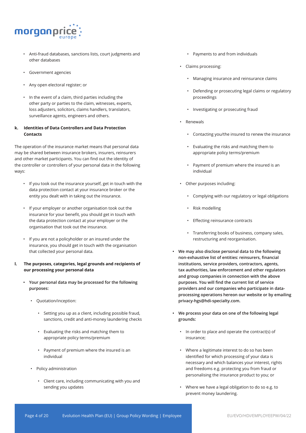

- Anti-fraud databases, sanctions lists, court judgments and other databases
- Government agencies
- Any open electoral register; or
- In the event of a claim, third parties including the other party or parties to the claim, witnesses, experts, loss adjusters, solicitors, claims handlers, translators, surveillance agents, engineers and others.

## **k. Identities of Data Controllers and Data Protection Contacts**

The operation of the insurance market means that personal data may be shared between insurance brokers, insurers, reinsurers and other market participants. You can find out the identity of the controller or controllers of your personal data in the following ways:

- If you took out the insurance yourself, get in touch with the data protection contact at your insurance broker or the entity you dealt with in taking out the insurance.
- If your employer or another organisation took out the insurance for your benefit, you should get in touch with the data protection contact at your employer or the organisation that took out the insurance.
- If you are not a policyholder or an insured under the insurance, you should get in touch with the organisation that collected your personal data.
- **l. The purposes, categories, legal grounds and recipients of our processing your personal data**
	- **• Your personal data may be processed for the following purposes:** 
		- Quotation/inception:
			- Setting you up as a client, including possible fraud, sanctions, credit and anti-money laundering checks
			- Evaluating the risks and matching them to appropriate policy terms/premium
			- Payment of premium where the insured is an individual
		- Policy administration
			- Client care, including communicating with you and sending you updates
- Payments to and from individuals
- Claims processing:
	- Managing insurance and reinsurance claims
	- Defending or prosecuting legal claims or regulatory proceedings
	- Investigating or prosecuting fraud
- Renewals
	- Contacting you/the insured to renew the insurance
	- Evaluating the risks and matching them to appropriate policy terms/premium
	- Payment of premium where the insured is an individual
- Other purposes including:
	- Complying with our regulatory or legal obligations
	- Risk modelling
	- Effecting reinsurance contracts
	- Transferring books of business, company sales, restructuring and reorganisation.
- **• We may also disclose personal data to the following non-exhaustive list of entities: reinsurers, financial institutions, service providers, contractors, agents, tax authorities, law enforcement and other regulators and group companies in connection with the above purposes. You will find the current list of service providers and our companies who participate in dataprocessing operations hereon our website or by emailing privacy-hgs@hdi-specialty.com.**
- **• We process your data on one of the following legal grounds:**
	- In order to place and operate the contract(s) of insurance;
	- Where a legitimate interest to do so has been identified for which processing of your data is necessary and which balances your interest, rights and freedoms e.g. protecting you from fraud or personalising the insurance product to you; or
	- Where we have a legal obligation to do so e.g. to prevent money laundering.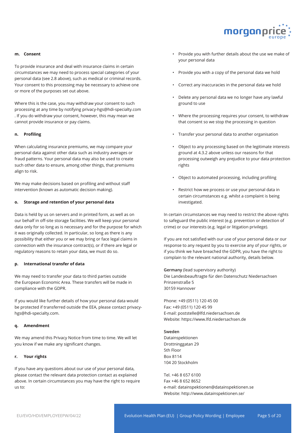

#### **m. Consent**

To provide insurance and deal with insurance claims in certain circumstances we may need to process special categories of your personal data (see 2.8 above), such as medical or criminal records. Your consent to this processing may be necessary to achieve one or more of the purposes set out above.

Where this is the case, you may withdraw your consent to such processing at any time by notifying privacy-hgs@hdi-specialty.com . If you do withdraw your consent, however, this may mean we cannot provide insurance or pay claims.

#### **n. Profiling**

When calculating insurance premiums, we may compare your personal data against other data such as industry averages or fraud patterns. Your personal data may also be used to create such other data to ensure, among other things, that premiums align to risk.

We may make decisions based on profiling and without staff intervention (known as automatic decision making).

#### **o. Storage and retention of your personal data**

Data is held by us on servers and in printed form, as well as on our behalf in off-site storage facilities. We will keep your personal data only for so long as is necessary and for the purpose for which it was originally collected. In particular, so long as there is any possibility that either you or we may bring or face legal claims in connection with the insurance contract(s), or if there are legal or regulatory reasons to retain your data, we must do so.

#### **p. International transfer of data**

We may need to transfer your data to third parties outside the European Economic Area. These transfers will be made in compliance with the GDPR.

If you would like further details of how your personal data would be protected if transferred outside the EEA, please contact privacyhgs@hdi-specialty.com.

#### **q. Amendment**

We may amend this Privacy Notice from time to time. We will let you know if we make any significant changes.

#### **r. Your rights**

If you have any questions about our use of your personal data, please contact the relevant data protection contact as explained above. In certain circumstances you may have the right to require us to:

- Provide you with further details about the use we make of your personal data
- Provide you with a copy of the personal data we hold
- Correct any inaccuracies in the personal data we hold
- Delete any personal data we no longer have any lawful ground to use
- Where the processing requires your consent, to withdraw that consent so we stop the processing in question
- Transfer your personal data to another organisation
- Object to any processing based on the legitimate interests ground at 4.3.2 above unless our reasons for that processing outweigh any prejudice to your data protection rights
- Object to automated processing, including profiling
- Restrict how we process or use your personal data in certain circumstances e.g. whilst a complaint is being investigated.

In certain circumstances we may need to restrict the above rights to safeguard the public interest (e.g. prevention or detection of crime) or our interests (e.g. legal or litigation privilege).

If you are not satisfied with our use of your personal data or our response to any request by you to exercise any of your rights, or if you think we have breached the GDPR, you have the right to complain to the relevant national authority, details below.

**Germany** (lead supervisory authority) Die Landesbeauftragte für den Datenschutz Niedersachsen Prinzenstraße 5 30159 Hannover

Phone: +49 (0511) 120 45 00 Fax: +49 (0511) 120 45 99 E-mail: poststelle@lfd.niedersachsen.de Website: https://www.lfd.niedersachsen.de

#### **Sweden**

Datainspektionen Drottninggatan 29 5th Floor Box 8114 104 20 Stockholm

Tel. +46 8 657 6100 Fax +46 8 652 8652 e-mail: datainspektionen@datainspektionen.se Website: http://www.datainspektionen.se/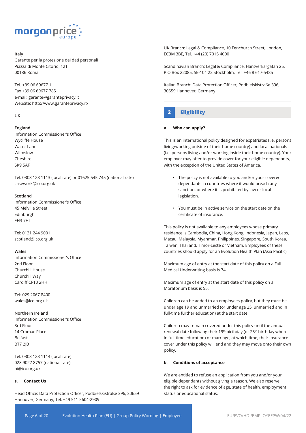

#### **Italy**

Garante per la protezione dei dati personali Piazza di Monte Citorio, 121 00186 Roma

Tel. +39 06 69677 1 Fax +39 06 69677 785 e-mail: garante@garanteprivacy.it Website: http://www.garanteprivacy.it/

#### **UK**

#### **England**

Information Commissioner's Office Wycliffe House Water Lane Wilmslow Cheshire SK9 5AF

Tel: 0303 123 1113 (local rate) or 01625 545 745 (national rate) casework@ico.org.uk

#### **Scotland**

Information Commissioner's Office 45 Melville Street Edinburgh EH3 7HL

Tel: 0131 244 9001 scotland@ico.org.uk

#### **Wales**

Information Commissioner's Office 2nd Floor Churchill House Churchill Way Cardiff CF10 2HH

Tel: 029 2067 8400 wales@ico.org.uk

#### **Northern Ireland**

Information Commissioner's Office 3rd Floor 14 Cromac Place Belfast BT7 2JB

Tel: 0303 123 1114 (local rate) 028 9027 8757 (national rate) ni@ico.org.uk

#### **s. Contact Us**

Head Office: Data Protection Officer, Podbielskistraße 396, 30659 Hannover, Germany, Tel. +49 511 5604-2909

UK Branch: Legal & Compliance, 10 Fenchurch Street, London, EC3M 3BE, Tel. +44 (20) 7015 4000

Scandinavian Branch: Legal & Compliance, Hantverkargatan 25, P.O Box 22085, SE-104 22 Stockholm, Tel. +46 8 617-5485

Italian Branch: Data Protection Officer, Podbielskistraße 396, 30659 Hannover, Germany

## **2 Eligibility**

#### **a. Who can apply?**

This is an international policy designed for expatriates (i.e. persons living/working outside of their home country) and local nationals (i.e. persons living and/or working inside their home country). Your employer may offer to provide cover for your eligible dependants, with the exception of the United States of America.

- The policy is not available to you and/or your covered dependants in countries where it would breach any sanction, or where it is prohibited by law or local legislation.
- You must be in active service on the start date on the certificate of insurance.

This policy is not available to any employees whose primary residence is Cambodia, China, Hong Kong, Indonesia, Japan, Laos, Macau, Malaysia, Myanmar, Philippines, Singapore, South Korea, Taiwan, Thailand, Timor-Leste or Vietnam. Employees of these countries should apply for an Evolution Health Plan (Asia Pacific).

Maximum age of entry at the start date of this policy on a Full Medical Underwriting basis is 74.

Maximum age of entry at the start date of this policy on a Moratorium basis is 55.

Children can be added to an employees policy, but they must be under age 19 and unmarried (or under age 25, unmarried and in full-time further education) at the start date.

Children may remain covered under this policy until the annual renewal date following their 19<sup>th</sup> birthday (or 25<sup>th</sup> birthday where in full-time education) or marriage, at which time, their insurance cover under this policy will end and they may move onto their own policy.

#### **b. Conditions of acceptance**

We are entitled to refuse an application from you and/or your eligible dependants without giving a reason. We also reserve the right to ask for evidence of age, state of health, employment status or educational status.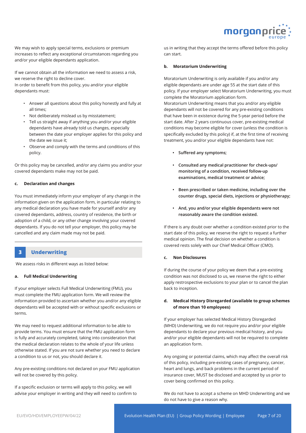

We may wish to apply special terms, exclusions or premium increases to reflect any exceptional circumstances regarding you and/or your eligible dependants application.

If we cannot obtain all the information we need to assess a risk, we reserve the right to decline cover.

In order to benefit from this policy, you and/or your eligible dependants must:

- Answer all questions about this policy honestly and fully at all times;
- Not deliberately mislead us by misstatement;
- Tell us straight away if anything you and/or your eligible dependants have already told us changes, especially between the date your employer applies for this policy and the date we issue it;
- Observe and comply with the terms and conditions of this policy.

Or this policy may be cancelled, and/or any claims you and/or your covered dependants make may not be paid.

#### **c. Declaration and changes**

You must immediately inform your employer of any change in the information given on the application form, in particular relating to any medical declaration you have made for yourself and/or any covered dependants, address, country of residence, the birth or adoption of a child, or any other change involving your covered dependants. If you do not tell your employer, this policy may be cancelled and any claim made may not be paid.

## **3 Underwriting**

We assess risks in different ways as listed below:

#### **a. Full Medical Underwriting**

If your employer selects Full Medical Underwriting (FMU), you must complete the FMU application form. We will review the information provided to ascertain whether you and/or any eligible dependants will be accepted with or without specific exclusions or terms.

We may need to request additional information to be able to provide terms. You must ensure that the FMU application form is fully and accurately completed, taking into consideration that the medical declaration relates to the whole of your life unless otherwise stated. If you are not sure whether you need to declare a condition to us or not, you should declare it.

Any pre-existing conditions not declared on your FMU application will not be covered by this policy.

If a specific exclusion or terms will apply to this policy, we will advise your employer in writing and they will need to confirm to

us in writing that they accept the terms offered before this policy can start.

#### **b. Moratorium Underwriting**

Moratorium Underwriting is only available if you and/or any eligible dependants are under age 55 at the start date of this policy. If your employer select Moratorium Underwriting, you must complete the Moratorium application form.

Moratorium Underwriting means that you and/or any eligible dependants will not be covered for any pre-existing conditions that have been in existence during the 5-year period before the start date. After 2 years continuous cover, pre-existing medical conditions may become eligible for cover (unless the condition is specifically excluded by this policy) if, at the first time of receiving treatment, you and/or your eligible dependants have not:

- **• Suffered any symptoms;**
- **• Consulted any medical practitioner for check-ups/ monitoring of a condition, received follow-up examinations, medical treatment or advice;**
- **• Been prescribed or taken medicine, including over the counter drugs, special diets, injections or physiotherapy;**
- **• And, you and/or your eligible dependants were not reasonably aware the condition existed.**

If there is any doubt over whether a condition existed prior to the start date of this policy, we reserve the right to request a further medical opinion. The final decision on whether a condition is covered rests solely with our Chief Medical Officer (CMO).

#### **c. Non Disclosures**

If during the course of your policy we deem that a pre-existing condition was not disclosed to us, we reserve the right to either apply restrospective exclusions to your plan or to cancel the plan back to inception.

## **d. Medical History Disregarded (available to group schemes of more than 10 employees)**

If your employer has selected Medical History Disregarded (MHD) Underwriting, we do not require you and/or your eligible dependants to declare your previous medical history, and you and/or your eligible dependants will not be required to complete an application form.

Any ongoing or potential claims, which may affect the overall risk of this policy, including pre-existing cases of pregnancy, cancer, heart and lungs, and back problems in the current period of insurance cover, MUST be disclosed and accepted by us prior to cover being confirmed on this policy.

We do not have to accept a scheme on MHD Underwriting and we do not have to give a reason why.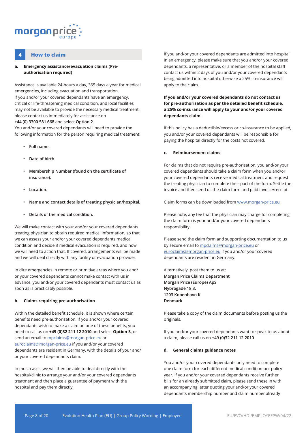

## **4 How to claim**

#### **a. Emergency assistance/evacuation claims (Preauthorisation required)**

Assistance is available 24-hours a day, 365 days a year for medical emergencies, including evacuation and transportation. If you and/or your covered dependants have an emergency, critical or life-threatening medical condition, and local facilities may not be available to provide the necessary medical treatment, please contact us immediately for assistance on **+44 (0) 3300 581 668** and select **Option 2**.

You and/or your covered dependants will need to provide the following information for the person requiring medical treatment:

- **• Full name.**
- **• Date of birth.**
- **• Membership Number (found on the certificate of insurance).**
- **• Location.**
- **• Name and contact details of treating physician/hospital.**
- **• Details of the medical condition.**

We will make contact with your and/or your covered dependants treating physician to obtain required medical information, so that we can assess your and/or your covered dependants medical condition and decide if medical evacuation is required, and how we will need to action that. If covered, arrangements will be made and we will deal directly with any facility or evacuation provider.

In dire emergencies in remote or primitive areas where you and/ or your covered dependants cannot make contact with us in advance, you and/or your covered dependants must contact us as soon as is practicably possible.

#### **b. Claims requiring pre-authorisation**

Within the detailed benefit schedule, it is shown where certain benefits need pre-authorisation. If you and/or your covered dependants wish to make a claim on one of these benefits, you need to call us on **+49 (0)32 211 12 2010** and select **Option 3,** or send an email to mpclaims@morgan-price.eu or euroclaims@morgan-price.eu if you and/or your covered dependants are resident in Germany, with the details of your and/ or your covered dependants claim.

In most cases, we will then be able to deal directly with the hospital/clinic to arrange your and/or your covered dependants treatment and then place a guarantee of payment with the hospital and pay them directly.

If you and/or your covered dependants are admitted into hospital in an emergency, please make sure that you and/or your covered dependants, a representative, or a member of the hospital staff contact us within 2 days of you and/or your covered dependants being admitted into hospital otherwise a 25% co-insurance will apply to the claim.

**If you and/or your covered dependants do not contact us for pre-authorisation as per the detailed benefit schedule, a 25% co-insurance will apply to your and/or your covered dependants claim.**

If this policy has a deductible/excess or co-insurance to be applied, you and/or your covered dependants will be responsible for paying the hospital directly for the costs not covered.

#### **c. Reimbursement claims**

For claims that do not require pre-authorisation, you and/or your covered dependants should take a claim form when you and/or your covered dependants receive medical treatment and request the treating physician to complete their part of the form. Settle the invoice and then send us the claim form and paid invoice/receipt.

Claim forms can be downloaded from www.morgan-price.eu

Please note, any fee that the physician may charge for completing the claim form is your and/or your covered dependants responsibility.

Please send the claim form and supporting documentation to us by secure email to mpclaims@morgan-price.eu or euroclaims@morgan-price.eu if you and/or your covered dependants are resident in Germany.

Alternatively, post them to us at: **Morgan Price Claims Department Morgan Price (Europe) ApS Nybrogade 18 3. 1203 Kobenhavn K Denmark**

Please take a copy of the claim documents before posting us the originals.

If you and/or your covered dependants want to speak to us about a claim, please call us on **+49 (0)32 211 12 2010**

#### **d. General claims guidance notes**

You and/or your covered dependants only need to complete one claim form for each different medical condition per policy year. If you and/or your covered dependants receive further bills for an already submitted claim, please send these in with an accompanying letter quoting your and/or your covered dependants membership number and claim number already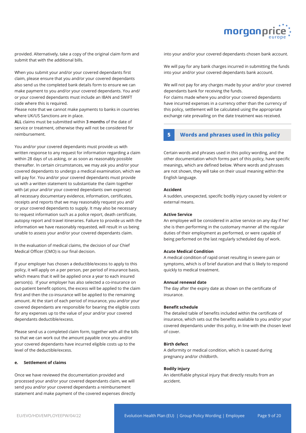

provided. Alternatively, take a copy of the original claim form and submit that with the additional bills.

When you submit your and/or your covered dependants first claim, please ensure that you and/or your covered dependants also send us the completed bank details form to ensure we can make payment to you and/or your covered dependants. You and/ or your covered dependants must include an IBAN and SWIFT code where this is required.

Please note that we cannot make payments to banks in countries where UK/US Sanctions are in place.

**ALL** claims must be submitted within **3 months** of the date of service or treatment, otherwise they will not be considered for reimbursement.

You and/or your covered dependants must provide us with written response to any request for information regarding a claim within 28 days of us asking, or as soon as reasonably possible thereafter. In certain circumstances, we may ask you and/or your covered dependants to undergo a medical examination, which we will pay for. You and/or your covered dependants must provide us with a written statement to substantiate the claim together with (at your and/or your covered dependants own expense) all necessary documentary evidence, information, certificates, receipts and reports that we may reasonably request you and/ or your covered dependants to supply. It may also be necessary to request information such as a police report, death certificate, autopsy report and travel itineraries. Failure to provide us with the information we have reasonably requested, will result in us being unable to assess your and/or your covered dependants claim.

In the evaluation of medical claims, the decision of our Chief Medical Officer (CMO) is our final decision.

If your employer has chosen a deductible/excess to apply to this policy, it will apply on a per person, per period of insurance basis, which means that it will be applied once a year to each insured person(s). If your employer has also selected a co-insurance on out-patient benefit options, the excess will be applied to the claim first and then the co-insurance will be applied to the remaining amount. At the start of each period of insurance, you and/or your covered dependants are responsible for bearing the eligible costs for any expenses up to the value of your and/or your covered dependants deductible/excess.

Please send us a completed claim form, together with all the bills so that we can work out the amount payable once you and/or your covered dependants have incurred eligible costs up to the level of the deductible/excess.

#### **e. Settlement of claims**

Once we have reviewed the documentation provided and processed your and/or your covered dependants claim, we will send you and/or your covered dependants a reimbursement statement and make payment of the covered expenses directly into your and/or your covered dependants chosen bank account.

We will pay for any bank charges incurred in submitting the funds into your and/or your covered dependants bank account.

We will not pay for any charges made by your and/or your covered dependants bank for receiving the funds.

For claims made where you and/or your covered dependants have incurred expenses in a currency other than the currency of this policy, settlement will be calculated using the appropriate exchange rate prevailing on the date treatment was received.

## **5 Words and phrases used in this policy**

Certain words and phrases used in this policy wording, and the other documentation which forms part of this policy, have specific meanings, which are defined below. Where words and phrases are not shown, they will take on their usual meaning within the English language.

#### **Accident**

A sudden, unexpected, specific bodily injury caused by violent or external means.

#### **Active Service**

An employee will be considered in active service on any day if he/ she is then performing in the customary manner all the regular duties of their employment as performed, or were capable of being performed on the last regularly scheduled day of work.

#### **Acute Medical Condition**

A medical condition of rapid onset resulting in severe pain or symptoms, which is of brief duration and that is likely to respond quickly to medical treatment.

#### **Annual renewal date**

The day after the expiry date as shown on the certificate of insurance.

#### **Benefit schedule**

The detailed table of benefits included within the certificate of insurance, which sets out the benefits available to you and/or your covered dependants under this policy, in line with the chosen level of cover.

#### **Birth defect**

A deformity or medical condition, which is caused during pregnancy and/or childbirth.

#### **Bodily injury**

An identifiable physical injury that directly results from an accident.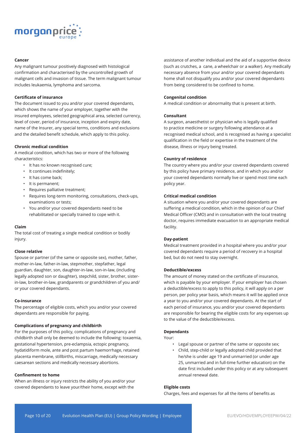

#### **Cancer**

Any malignant tumour positively diagnosed with histological confirmation and characterised by the uncontrolled growth of malignant cells and invasion of tissue. The term malignant tumour includes leukaemia, lymphoma and sarcoma.

#### **Certificate of insurance**

The document issued to you and/or your covered dependants, which shows the name of your employer, together with the insured employees, selected geographical area, selected currency, level of cover, period of insurance, inception and expiry date, name of the Insurer, any special terms, conditions and exclusions and the detailed benefit schedule, which apply to this policy.

#### **Chronic medical condition**

A medical condition, which has two or more of the following characteristics:

- It has no known recognised cure;
- It continues indefinitely;
- It has come back;
- It is permanent;
- Requires palliative treatment;
- Requires long-term monitoring, consultations, check-ups, examinations or tests;
- You and/or your covered dependants need to be rehabilitated or specially trained to cope with it.

#### **Claim**

The total cost of treating a single medical condition or bodily injury.

#### **Close relative**

Spouse or partner (of the same or opposite sex), mother, father, mother-in-law, father-in-law, stepmother, stepfather, legal guardian, daughter, son, daughter-in-law, son-in-law, (including legally adopted son or daughter), stepchild, sister, brother, sisterin-law, brother-in-law, grandparents or grandchildren of you and/ or your covered dependants.

#### **Co-insurance**

The percentage of eligible costs, which you and/or your covered dependants are responsible for paying.

#### **Complications of pregnancy and childbirth**

For the purposes of this policy, complications of pregnancy and childbirth shall only be deemed to include the following: toxaemia, gestational hypertension, pre-eclampsia, ectopic pregnancy, hydatidiform mole, ante and post partum haemorrhage, retained placenta membrane, stillbirths, miscarriage, medically necessary caesarean sections and medically necessary abortions.

#### **Confinement to home**

When an illness or injury restricts the ability of you and/or your covered dependants to leave your/their home, except with the

assistance of another individual and the aid of a supportive device (such as crutches, a cane, a wheelchair or a walker). Any medically necessary absence from your and/or your covered dependants home shall not disqualify you and/or your covered dependants from being considered to be confined to home.

#### **Congenital condition**

A medical condition or abnormality that is present at birth.

#### **Consultant**

A surgeon, anaesthetist or physician who is legally qualified to practice medicine or surgery following attendance at a recognised medical school, and is recognised as having a specialist qualification in the field or expertise in the treatment of the disease, illness or injury being treated.

#### **Country of residence**

The country where you and/or your covered dependants covered by this policy have primary residence, and in which you and/or your covered dependants normally live or spend most time each policy year.

#### **Critical medical condition**

A situation where you and/or your covered dependants are suffering a medical condition, which in the opinion of our Chief Medical Officer (CMO) and in consultation with the local treating doctor, requires immediate evacuation to an appropriate medical facility.

#### **Day-patient**

Medical treatment provided in a hospital where you and/or your covered dependants require a period of recovery in a hospital bed, but do not need to stay overnight.

#### **Deductible/excess**

The amount of money stated on the certificate of insurance, which is payable by your employer. If your employer has chosen a deductible/excess to apply to this policy, it will apply on a per person, per policy year basis, which means it will be applied once a year to you and/or your covered dependants. At the start of each period of insurance, you and/or your covered dependants are responsible for bearing the eligible costs for any expenses up to the value of the deductible/excess.

#### **Dependants**

Your:

- Legal spouse or partner of the same or opposite sex;
- Child, step-child or legally adopted child provided that he/she is under age 19 and unmarried (or under age 25, unmarried and in full-time further education) on the date first included under this policy or at any subsequent annual renewal date.

#### **Eligible costs**

Charges, fees and expenses for all the items of benefits as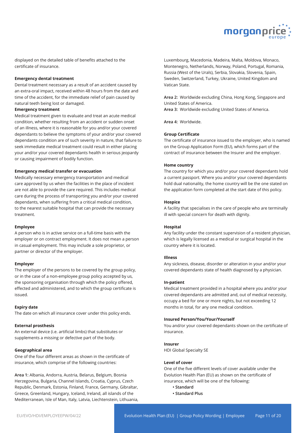

displayed on the detailed table of benefits attached to the certificate of insurance.

#### **Emergency dental treatment**

Dental treatment necessary as a result of an accident caused by an extra-oral impact, received within 48 hours from the date and time of the accident, for the immediate relief of pain caused by natural teeth being lost or damaged.

#### **Emergency treatment**

Medical treatment given to evaluate and treat an acute medical condition, whether resulting from an accident or sudden onset of an illness, where it is reasonable for you and/or your covered dependants to believe the symptoms of your and/or your covered dependants condition are of such severity in nature, that failure to seek immediate medical treatment could result in either placing your and/or your covered dependants health in serious jeopardy or causing impairment of bodily function.

#### **Emergency medical transfer or evacuation**

Medically necessary emergency transportation and medical care approved by us when the facilities in the place of incident are not able to provide the care required. This includes medical care during the process of transporting you and/or your covered dependants, when suffering from a critical medical condition, to the nearest suitable hospital that can provide the necessary treatment.

#### **Employee**

A person who is in active service on a full-time basis with the employer or on contract employment. It does not mean a person in casual employment. This may include a sole proprietor, or partner or director of the employer.

#### **Employer**

The employer of the persons to be covered by the group policy, or in the case of a non-employee group policy accepted by us, the sponsoring organisation through which the policy offered, effected and administered, and to which the group certificate is issued.

#### **Expiry date**

The date on which all insurance cover under this policy ends.

#### **External prosthesis**

An external device (i.e. artificial limbs) that substitutes or supplements a missing or defective part of the body.

#### **Geographical area**

One of the four different areas as shown in the certificate of insurance, which comprise of the following countries:

**Area 1:** Albania, Andorra, Austria, Belarus, Belgium, Bosnia Herzegovina, Bulgaria, Channel Islands, Croatia, Cyprus, Czech Republic, Denmark, Estonia, Finland, France, Germany, Gibraltar, Greece, Greenland, Hungary, Iceland, Ireland, all islands of the Mediterranean, Isle of Man, Italy, Latvia, Liechtenstein, Lithuania, Luxembourg, Macedonia, Madeira, Malta, Moldova, Monaco, Montenegro, Netherlands, Norway, Poland, Portugal, Romania, Russia (West of the Urals), Serbia, Slovakia, Slovenia, Spain, Sweden, Switzerland, Turkey, Ukraine, United Kingdom and Vatican State.

**Area 2:** Worldwide excluding China, Hong Kong, Singapore and United States of America.

**Area 3:** Worldwide excluding United States of America.

**Area 4:** Worldwide.

#### **Group Certificate**

The certificate of insurance issued to the employer, who is named on the Group Application Form (EU), which forms part of the contract of insurance between the Insurer and the employer.

#### **Home country**

The country for which you and/or your covered dependants hold a current passport. Where you and/or your covered dependants hold dual nationality, the home country will be the one stated on the application form completed at the start date of this policy.

#### **Hospice**

A facility that specialises in the care of people who are terminally ill with special concern for death with dignity.

#### **Hospital**

Any facility under the constant supervision of a resident physician, which is legally licensed as a medical or surgical hospital in the country where it is located.

#### **Illness**

Any sickness, disease, disorder or alteration in your and/or your covered dependants state of health diagnosed by a physician.

#### **In-patient**

Medical treatment provided in a hospital where you and/or your covered dependants are admitted and, out of medical necessity, occupy a bed for one or more nights, but not exceeding 12 months in total, for any one medical condition.

#### **Insured Person/You/Your/Yourself**

You and/or your covered dependants shown on the certificate of insurance.

#### **Insurer**

HDI Global Specialty SE

#### **Level of cover**

One of the five different levels of cover available under the Evolution Health Plan (EU) as shown on the certificate of insurance, which will be one of the following:

- **Standard**
- **Standard Plus**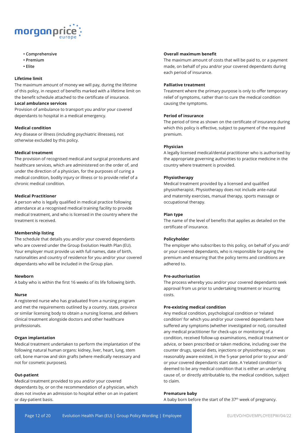

- **Comprehensive**
- **Premium**
- **Elite**

#### **Lifetime limit**

The maximum amount of money we will pay, during the lifetime of this policy, in respect of benefits marked with a lifetime limit on the benefit schedule attached to the certificate of insurance.

#### **Local ambulance services**

Provision of ambulance to transport you and/or your covered dependants to hospital in a medical emergency.

#### **Medical condition**

Any disease or illness (including psychiatric illnesses), not otherwise excluded by this policy.

#### **Medical treatment**

The provision of recognised medical and surgical procedures and healthcare services, which are administered on the order of, and under the direction of a physician, for the purposes of curing a medical condition, bodily injury or illness or to provide relief of a chronic medical condition.

#### **Medical Practitioner**

A person who is legally qualified in medical practice following attendance at a recognised medical training facility to provide medical treatment, and who is licensed in the country where the treatment is received.

#### **Membership listing**

The schedule that details you and/or your covered dependants who are covered under the Group Evolution Health Plan (EU). Your employer must provide us with full names, date of birth, nationalities and country of residence for you and/or your covered dependants who will be included in the Group plan.

#### **Newborn**

A baby who is within the first 16 weeks of its life following birth.

#### **Nurse**

A registered nurse who has graduated from a nursing program and met the requirements outlined by a country, state, province or similar licensing body to obtain a nursing license, and delivers clinical treatment alongside doctors and other healthcare professionals.

#### **Organ implantation**

Medical treatment undertaken to perform the implantation of the following natural human organs: kidney, liver, heart, lung, stem cell, bone marrow and skin grafts (where medically necessary and not for cosmetic purposes).

#### **Out-patient**

Medical treatment provided to you and/or your covered dependants by, or on the recommendation of a physician, which does not involve an admission to hospital either on an in-patient or day-patient basis.

#### **Overall maximum benefit**

The maximum amount of costs that will be paid to, or a payment made, on behalf of you and/or your covered dependants during each period of insurance.

#### **Palliative treatment**

Treatment where the primary purpose is only to offer temporary relief of symptoms, rather than to cure the medical condition causing the symptoms.

#### **Period of insurance**

The period of time as shown on the certificate of insurance during which this policy is effective, subject to payment of the required premium.

#### **Physician**

A legally licensed medical/dental practitioner who is authorised by the appropriate governing authorities to practice medicine in the country where treatment is provided.

#### **Physiotherapy**

Medical treatment provided by a licensed and qualified physiotherapist. Physiotherapy does not include ante-natal and maternity exercises, manual therapy, sports massage or occupational therapy.

#### **Plan type**

The name of the level of benefits that applies as detailed on the certificate of insurance.

#### **Policyholder**

The employer who subscribes to this policy, on behalf of you and/ or your covered dependants, who is responsible for paying the premium and ensuring that the policy terms and conditions are adhered to.

#### **Pre-authorisation**

The process whereby you and/or your covered dependants seek approval from us prior to undertaking treatment or incurring costs.

#### **Pre-existing medical condition**

Any medical condition, psychological condition or 'related condition' for which you and/or your covered dependants have suffered any symptoms (whether investigated or not), consulted any medical practitioner for check-ups or monitoring of a condition, received follow-up examinations, medical treatment or advice, or been prescribed or taken medicine, including over the counter drugs, special diets, injections or physiotherapy, or was reasonably aware existed, in the 5-year period prior to your and/ or your covered dependants start date. A 'related condition' is deemed to be any medical condition that is either an underlying cause of, or directly attributable to, the medical condition, subject to claim.

#### **Premature baby**

A baby born before the start of the  $37<sup>th</sup>$  week of pregnancy.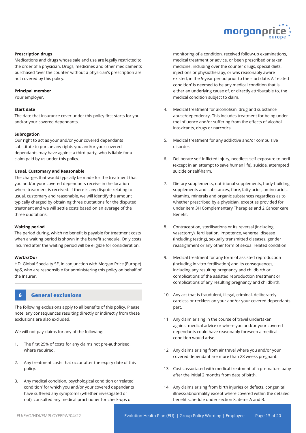

#### **Prescription drugs**

Medications and drugs whose sale and use are legally restricted to the order of a physician. Drugs, medicines and other medicaments purchased 'over the counter' without a physician's prescription are not covered by this policy.

#### **Principal member**

Your employer.

#### **Start date**

The date that insurance cover under this policy first starts for you and/or your covered dependants.

#### **Subrogation**

Our right to act as your and/or your covered dependants substitute to pursue any rights you and/or your covered dependants may have against a third party, who is liable for a claim paid by us under this policy.

#### **Usual, Customary and Reasonable**

The charges that would typically be made for the treatment that you and/or your covered dependants receive in the location where treatment is received. If there is any dispute relating to usual, customary and reasonable, we will identify the amount typically charged by obtaining three quotations for the disputed treatment and we will settle costs based on an average of the three quotations.

#### **Waiting period**

The period during, which no benefit is payable for treatment costs when a waiting period is shown in the benefit schedule. Only costs incurred after the waiting period will be eligible for consideration.

#### **We/Us/Our**

HDI Global Specialty SE, in conjunction with Morgan Price (Europe) ApS, who are responsible for administering this policy on behalf of the Insurer.

## **6 General exclusions**

The following exclusions apply to all benefits of this policy. Please note, any consequences resulting directly or indirectly from these exclusions are also excluded.

We will not pay claims for any of the following:

- 1. The first 25% of costs for any claims not pre-authorised, where required.
- 2. Any treatment costs that occur after the expiry date of this policy.
- 3. Any medical condition, psychological condition or 'related condition' for which you and/or your covered dependants have suffered any symptoms (whether investigated or not), consulted any medical practitioner for check-ups or

monitoring of a condition, received follow-up examinations, medical treatment or advice, or been prescribed or taken medicine, including over the counter drugs, special diets, injections or physiotherapy, or was reasonably aware existed, in the 5-year period prior to the start date. A 'related condition' is deemed to be any medical condition that is either an underlying cause of, or directly attributable to, the medical condition subject to claim.

- 4. Medical treatment for alcoholism, drug and substance abuse/dependency. This includes treatment for being under the influence and/or suffering from the effects of alcohol, intoxicants, drugs or narcotics.
- 5. Medical treatment for any addictive and/or compulsive disorder.
- 6. Deliberate self-inflicted injury, needless self-exposure to peril (except in an attempt to save human life), suicide, attempted suicide or self-harm.
- 7. Dietary supplements, nutritional supplements, body-building supplements and substances, fibre, fatty acids, amino acids, vitamins, minerals and organic substances regardless as to whether prescribed by a physician, except as provided for under item 3H Complementary Therapies and 2 Cancer care Benefit.
- 8. Contraception, sterilisations or its reversal (including vasectomy), fertilisation, impotence, venereal disease (including testing), sexually transmitted diseases, gender reassignment or any other form of sexual related condition.
- 9. Medical treatment for any form of assisted reproduction (including in vitro fertilisation) and its consequences, including any resulting pregnancy and childbirth or complications of the assisted reproduction treatment or complications of any resulting pregnancy and childbirth.
- 10. Any act that is fraudulent, illegal, criminal, deliberately careless or reckless on your and/or your covered dependants part.
- 11. Any claim arising in the course of travel undertaken against medical advice or where you and/or your covered dependants could have reasonably foreseen a medical condition would arise.
- 12. Any claims arising from air travel where you and/or your covered dependant are more than 28 weeks pregnant.
- 13. Costs associated with medical treatment of a premature baby after the initial 2 months from date of birth.
- 14. Any claims arising from birth injuries or defects, congenital illness/abnormality except where covered within the detailed benefit schedule under section 8, items A and B.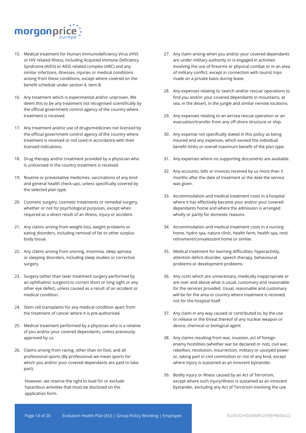

- 15. Medical treatment for Human Immunodeficiency Virus (HIV) or HIV related illness, including Acquired Immune Deficiency Syndrome (AIDS) or AIDS related complex (ARC) and any similar infections, illnesses, injuries or medical conditions arising from these conditions, except where covered on the benefit schedule under section 4, item B.
- 16. Any treatment which is experimental and/or unproven. We deem this to be any treatment not recognised scientifically by the official government control agency of the country where treatment is received.
- 17. Any treatment and/or use of drugs/medicines not licensed by the official government control agency of the country where treatment is received or not used in accordance with their licensed indications.
- 18. Drug therapy and/or treatment provided by a physician who is unlicensed in the country treatment is received.
- 19. Routine or preventative medicines, vaccinations of any kind and general health check-ups, unless specifically covered by the selected plan type.
- 20. Cosmetic surgery, cosmetic treatments or remedial surgery, whether or not for psychological purposes, except when required as a direct result of an illness, injury or accident.
- 21. Any claims arising from weight loss, weight problems or eating disorders, including removal of fat or other surplus body tissue.
- 22. Any claims arising from snoring, insomnia, sleep apnoea or sleeping disorders, including sleep studies or corrective surgery.
- 23. Surgery (other than laser treatment surgery performed by an ophthalmic surgeon) to correct short or long sight or any other eye defect, unless caused as a result of an accident or medical condition.
- 24. Stem cell transplants for any medical condition apart from the treatment of cancer where it is pre-authorised.
- 25. Medical treatment performed by a physician who is a relative of you and/or your covered dependants, unless previously approved by us.
- 26. Claims arising from racing, other than on foot, and all professional sports (By professional we mean sports for which you and/or your covered dependants are paid to take part).

However, we reserve the right to load for or exclude hazardous activities that must be disclosed on the application form.

- 27. Any claim arising when you and/or your covered dependants are under military authority or is engaged in activities involving the use of firearms or physical combat or in an area of military conflict, except in connection with tourist trips made on a private basis during leave.
- 28. Any expenses relating to 'search and/or rescue' operations to find you and/or your covered dependants in mountains, at sea, in the desert, in the jungle and similar remote locations.
- 29. Any expenses relating to an air/sea rescue operation or an evacuation/transfer from any off-shore structure or ship.
- 30. Any expense not specifically stated in this policy as being insured and any expenses, which exceed the individual benefit limits or overall maximum benefit of the plan type.
- 31. Any expenses where no supporting documents are available.
- 32. Any accounts, bills or invoices received by us more than 3 months after the date of treatment or the date the service was given.
- 33. Accommodation and medical treatment costs in a hospital where it has effectively become your and/or your covered dependants home and where the admission is arranged wholly or partly for domestic reasons.
- 34. Accommodation and medical treatment costs in a nursing home, hydro spa, nature clinic, health farm, health spa, rest/ retirement/convalescent home or similar.
- 35. Medical treatment for learning difficulties, hyperactivity, attention deficit disorder, speech therapy, behavioural problems or development problems.
- 36. Any costs which are unnecessary, medically inappropriate or are over and above what is usual, customary and reasonable for the services provided. Usual, reasonable and customary will be for the area or country where treatment is received, not for the hospital itself.
- 37. Any claim in any way caused or contributed to, by the use or release or the threat thereof of any nuclear weapon or device, chemical or biological agent.
- 38. Any claims resulting from war, invasion, act of foreign enemy hostilities (whether war be declared or not), civil war, rebellion, revolution, insurrection, military or usurped power or, taking part in civil commotion or riot of any kind, except where injury is sustained as an innocent bystander.
- 39. Bodily injury or illness caused by an Act of Terrorism, except where such injury/illness is sustained as an innocent bystander, excluding any Act of Terrorism involving the use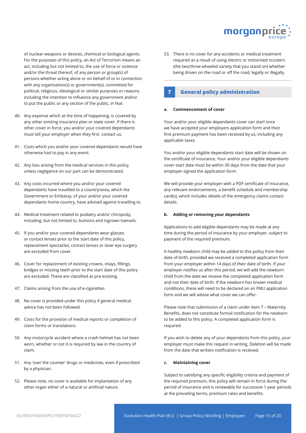

of nuclear weapons or devices, chemical or biological agents. For the purposes of this policy, an Act of Terrorism means an act, including but not limited to, the use of force or violence and/or the threat thereof, of any person or group(s) of persons whether acting alone or on behalf of or in connection with any organisation(s) or government(s), committed for political, religious, ideological or similar purposes or reasons including the intention to influence any government and/or to put the public or any section of the public, in fear.

- 40. Any expense which at the time of happening, is covered by any other existing insurance plan or state cover. If there is other cover in force, you and/or your covered dependants must tell your employer when they first contact us.
- 41. Costs which you and/or your covered dependants would have otherwise had to pay in any event.
- 42. Any loss arising from the medical services in this policy, unless negligence on our part can be demonstrated.
- 43. Any costs incurred where you and/or your covered dependants have travelled to a country/area, which the Government or Embassy, of your and/or your covered dependants home country, have advised against travelling to.
- 44. Medical treatment related to podiatry and/or chiropody, including, but not limited to, bunions and ingrown toenails.
- 45. If you and/or your covered dependants wear glasses or contact lenses prior to the start date of this policy, replacement spectacles, contact lenses or laser eye surgery are excluded from cover.
- 46. Cover for replacement of existing crowns, inlays, fillings, bridges or missing teeth prior to the start date of this policy are excluded. These are classified as pre-existing.
- 47. Claims arising from the use of e-cigarettes.
- 48. No cover is provided under this policy if general medical advice has not been followed.
- 49. Costs for the provision of medical reports or completion of claim forms or translations.
- 50. Any motorcycle accident where a crash helmet has not been worn, whether or not it is required by law in the country of claim.
- 51. Any 'over the counter' drugs or medicines, even if prescribed by a physician.
- 52. Please note, no cover is available for implantation of any other organ either of a natural or artificial nature.

53. There is no cover for any accidents or medical treatment required as a result of using electric or motorised scooters (the two/three wheeled variety that you stand on) whether being driven on the road or off the road, legally or illegally.

## **7 General policy administration**

#### **a. Commencement of cover**

Your and/or your eligible dependants cover can start once we have accepted your employers application form and their first premium payment has been received by us, including any applicable taxes.

You and/or your eligible dependants start date will be shown on the certificate of insurance. Your and/or your eligible dependants cover start date must be within 30 days from the date that your employer signed the application form.

We will provide your employer with a PDF certificate of insurance, any relevant endorsements, a benefit schedule and membership card(s), which includes details of the emergency claims contact details.

#### **b. Adding or removing your dependants**

Applications to add eligible dependants may be made at any time during the period of insurance by your employer, subject to payment of the required premium.

A healthy newborn child may be added to this policy from their date of birth, provided we received a completed application form from your employer within 14 days of their date of birth. If your employer notifies us after this period, we will add the newborn child from the date we receive the completed application form and not their date of birth. If the newborn has known medical conditions, these will need to be declared on an FMU application form and we will advise what cover we can offer.

Please note that submission of a claim under item 7 – Maternity Benefits, does not constitute formal notification for the newborn to be added to this policy. A completed application form is required.

If you wish to delete any of your dependants from this policy, your employer must make this request in writing. Deletion will be made from the date that written notification is received.

#### **c. Maintaining cover**

Subject to satisfying any specific eligibility criteria and payment of the required premium, this policy will remain in force during the period of insurance and is renewable for successive 1-year periods at the prevailing terms, premium rates and benefits.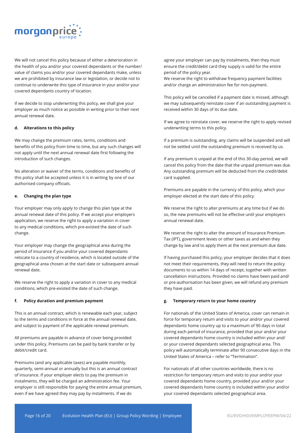

We will not cancel this policy because of either a deterioration in the health of you and/or your covered dependants or the number/ value of claims you and/or your covered dependants make, unless we are prohibited by insurance law or legislation, or decide not to continue to underwrite this type of insurance in your and/or your covered dependants country of location.

If we decide to stop underwriting this policy, we shall give your employer as much notice as possible in writing prior to their next annual renewal date.

#### **d. Alterations to this policy**

We may change the premium rates, terms, conditions and benefits of this policy from time to time, but any such changes will not apply until the next annual renewal date first following the introduction of such changes.

No alteration or waiver of the terms, conditions and benefits of this policy shall be accepted unless it is in writing by one of our authorised company officials.

#### **e. Changing the plan type**

Your employer may only apply to change this plan type at the annual renewal date of this policy. If we accept your employers application, we reserve the right to apply a variation in cover to any medical conditions, which pre-existed the date of such change.

Your employer may change the geographical area during the period of insurance if you and/or your covered dependants relocate to a country of residence, which is located outside of the geographical area chosen at the start date or subsequent annual renewal date.

We reserve the right to apply a variation in cover to any medical conditions, which pre-existed the date of such change.

#### **f. Policy duration and premium payment**

This is an annual contract, which is renewable each year, subject to the terms and conditions in force at the annual renewal date, and subject to payment of the applicable renewal premium.

All premiums are payable in advance of cover being provided under this policy. Premiums can be paid by bank transfer or by debit/credit card.

Premiums (and any applicable taxes) are payable monthly, quarterly, semi-annual or annually but this is an annual contract of insurance. If your employer elects to pay the premium in instalments, they will be charged an administration fee. Your employer is still responsible for paying the entire annual premium, even if we have agreed they may pay by instalments. If we do

agree your employer can pay by instalments, then they must ensure the credit/debit card they supply is valid for the entire period of the policy year.

We reserve the right to withdraw frequency payment facilities and/or charge an administration fee for non-payment.

This policy will be cancelled if a payment date is missed, although we may subsequently reinstate cover if an outstanding payment is received within 30 days of its due date.

If we agree to reinstate cover, we reserve the right to apply revised underwriting terms to this policy.

If a premium is outstanding, any claims will be suspended and will not be settled until the outstanding premium is received by us.

If any premium is unpaid at the end of this 30-day period, we will cancel this policy from the date that the unpaid premium was due. Any outstanding premium will be deducted from the credit/debit card supplied.

Premiums are payable in the currency of this policy, which your employer elected at the start date of this policy.

We reserve the right to alter premiums at any time but if we do so, the new premiums will not be effective until your employers annual renewal date.

We reserve the right to alter the amount of Insurance Premium Tax (IPT), government levies or other taxes as and when they change by law and to apply them at the next premium due date.

If having purchased this policy, your employer decides that it does not meet their requirements, they will need to return the policy documents to us within 14 days of receipt, together with written cancellation instructions. Provided no claims have been paid and/ or pre-authorisation has been given, we will refund any premium they have paid.

#### **g. Temporary return to your home country**

For nationals of the United States of America, cover can remain in force for temporary return and visits to your and/or your covered dependants home country up to a maximum of 90 days in total during each period of insurance, provided that your and/or your covered dependants home country is included within your and/ or your covered dependants selected geographical area. This policy will automatically terminate after 90 consecutive days in the United States of America – refer to "Termination".

For nationals of all other countries worldwide, there is no restriction for temporary return and visits to your and/or your covered dependants home country, provided your and/or your covered dependants home country is included within your and/or your covered dependants selected geographical area.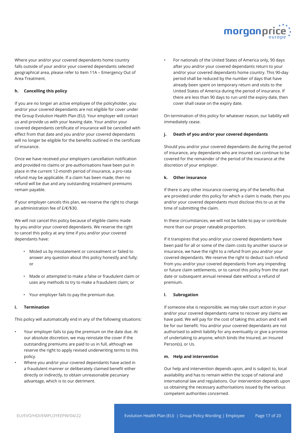

Where your and/or your covered dependants home country falls outside of your and/or your covered dependants selected geographical area, please refer to Item 11A – Emergency Out of Area Treatment.

#### **h. Cancelling this policy**

If you are no longer an active employee of the policyholder, you and/or your covered dependants are not eligible for cover under the Group Evolution Health Plan (EU). Your employer will contact us and provide us with your leaving date. Your and/or your covered dependants certificate of insurance will be cancelled with effect from that date and you and/or your covered dependants will no longer be eligible for the benefits outlined in the certificate of insurance.

Once we have received your employers cancellation notification and provided no claims or pre-authorisations have been put in place in the current 12-month period of insurance, a pro-rata refund may be applicable. If a claim has been made, then no refund will be due and any outstanding instalment premiums remain payable.

If your employer cancels this plan, we reserve the right to charge an administration fee of £/€/\$30.

We will not cancel this policy because of eligible claims made by you and/or your covered dependants. We reserve the right to cancel this policy at any time if you and/or your covered dependants have:

- Misled us by misstatement or concealment or failed to answer any question about this policy honestly and fully; or
- Made or attempted to make a false or fraudulent claim or uses any methods to try to make a fraudulent claim; or
- Your employer fails to pay the premium due.

#### **i. Termination**

This policy will automatically end in any of the following situations:

- Your employer fails to pay the premium on the date due. At our absolute discretion, we may reinstate the cover if the outstanding premiums are paid to us in full, although we reserve the right to apply revised underwriting terms to this policy.
- Where you and/or your covered dependants have acted in a fraudulent manner or deliberately claimed benefit either directly or indirectly, to obtain unreasonable pecuniary advantage, which is to our detriment.

• For nationals of the United States of America only, 90 days after you and/or your covered dependants return to your and/or your covered dependants home country. This 90-day period shall be reduced by the number of days that have already been spent on temporary return and visits to the United States of America during the period of insurance. If there are less than 90 days to run until the expiry date, then cover shall cease on the expiry date.

On termination of this policy for whatever reason, our liability will immediately cease.

#### **j. Death of you and/or your covered dependants**

Should you and/or your covered dependants die during the period of insurance, any dependants who are insured can continue to be covered for the remainder of the period of the insurance at the discretion of your employer.

#### **k. Other insurance**

If there is any other insurance covering any of the benefits that are provided under this policy for which a claim is made, then you and/or your covered dependants must disclose this to us at the time of submitting the claim.

In these circumstances, we will not be liable to pay or contribute more than our proper rateable proportion.

If it transpires that you and/or your covered dependants have been paid for all or some of the claim costs by another source or insurance, we have the right to a refund from you and/or your covered dependants. We reserve the right to deduct such refund from you and/or your covered dependants from any impending or future claim settlements, or to cancel this policy from the start date or subsequent annual renewal date without a refund of premium.

#### **l. Subrogation**

If someone else is responsible, we may take court action in your and/or your covered dependants name to recover any claims we have paid. We will pay for the cost of taking this action and it will be for our benefit. You and/or your covered dependants are not authorised to admit liability for any eventuality or give a promise of undertaking to anyone, which binds the Insured, an Insured Person(s), or Us.

#### **m. Help and intervention**

Our help and intervention depends upon, and is subject to, local availability and has to remain within the scope of national and international law and regulations. Our intervention depends upon us obtaining the necessary authorisations issued by the various competent authorities concerned.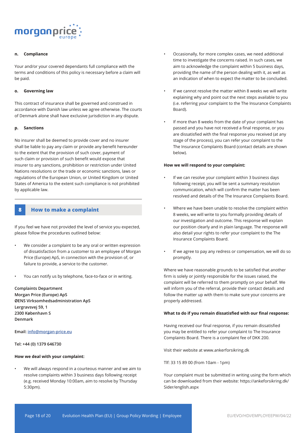

#### **n. Compliance**

Your and/or your covered dependants full compliance with the terms and conditions of this policy is necessary before a claim will be paid.

#### **o. Governing law**

This contract of insurance shall be governed and construed in accordance with Danish law unless we agree otherwise. The courts of Denmark alone shall have exclusive jurisdiction in any dispute.

#### **p. Sanctions**

No insurer shall be deemed to provide cover and no insurer shall be liable to pay any claim or provide any benefit hereunder to the extent that the provision of such cover, payment of such claim or provision of such benefit would expose that insurer to any sanctions, prohibition or restriction under United Nations resolutions or the trade or economic sanctions, laws or regulations of the European Union, or United Kingdom or United States of America to the extent such compliance is not prohibited by applicable law.

#### **8 How to make a complaint**

If you feel we have not provided the level of service you expected, please follow the procedures outlined below:

- We consider a complaint to be any oral or written expression of dissatisfaction from a customer to an employee of Morgan Price (Europe) ApS, in connection with the provision of, or failure to provide, a service to the customer.
- You can notify us by telephone, face-to-face or in writing.

**Complaints Department Morgan Price (Europe) ApS ØENS Virksomhedsadministration ApS Lergravsvej 59, 1 2300 København S Denmark**

**Email: info@morgan-price.eu** 

**Tel: +44 (0) 1379 646730**

#### **How we deal with your complaint:**

• We will always respond in a courteous manner and we aim to resolve complaints within 3 business days following receipt (e.g. received Monday 10:00am, aim to resolve by Thursday 5:30pm).

- Occasionally, for more complex cases, we need additional time to investigate the concerns raised. In such cases, we aim to acknowledge the complaint within 5 business days, providing the name of the person dealing with it, as well as an indication of when to expect the matter to be concluded.
- If we cannot resolve the matter within 8 weeks we will write explaining why and point out the next steps available to you (i.e. referring your complaint to the The Insurance Complaints Board).
- If more than 8 weeks from the date of your complaint has passed and you have not received a final response, or you are dissatisfied with the final response you received (at any stage of the process), you can refer your complaint to the The Insurance Complaints Board (contact details are shown below).

#### **How we will respond to your complaint:**

- If we can resolve your complaint within 3 business days following receipt, you will be sent a summary resolution communication, which will confirm the matter has been resolved and details of the The Insurance Complaints Board.
- Where we have been unable to resolve the complaint within 8 weeks, we will write to you formally providing details of our investigation and outcome. This response will explain our position clearly and in plain language. The response will also detail your rights to refer your complaint to the The Insurance Complaints Board.
- If we agree to pay any redress or compensation, we will do so promptly.

Where we have reasonable grounds to be satisfied that another firm is solely or jointly responsible for the issues raised, the complaint will be referred to them promptly on your behalf. We will inform you of the referral, provide their contact details and follow the matter up with them to make sure your concerns are properly addressed.

#### **What to do if you remain dissatisfied with our final response:**

Having received our final response, if you remain dissatisfied you may be entitled to refer your complaint to The Insurance Complaints Board. There is a complaint fee of DKK 200.

Visit their website at www.ankerforsikring.dk

Tlf: 33 15 89 00 (from 10am - 1pm)

Your complaint must be submitted in writing using the form which can be downloaded from their website: https://ankeforsikring.dk/ Sider/english.aspx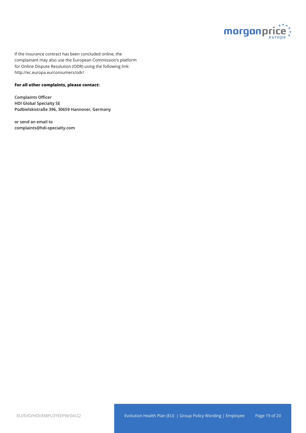

If the insurance contract has been concluded online, the complainant may also use the European Commission's platform for Online Dispute Resolution (ODR) using the following link: http://ec.europa.eu/consumers/odr/

#### **For all other complaints, please contact:**

**Complaints Officer HDI Global Specialty SE Podbielskistraße 396, 30659 Hannover, Germany**

**or send an email to complaints@hdi-specialty.com**